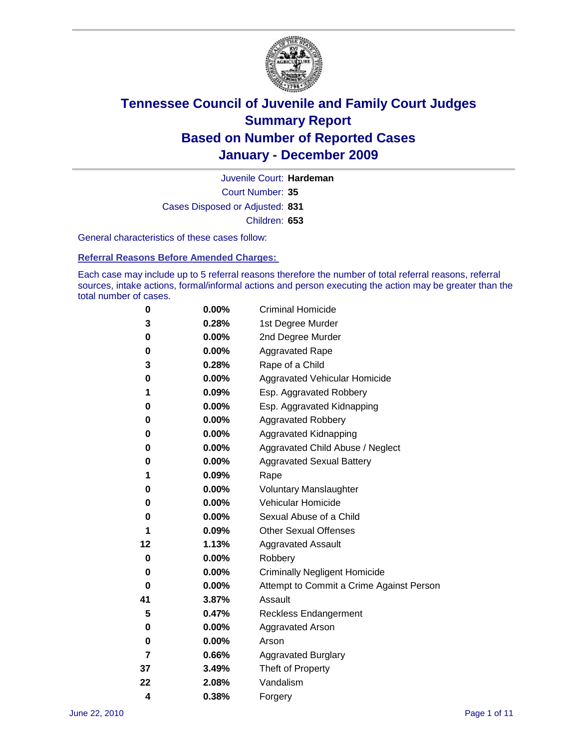

Court Number: **35** Juvenile Court: **Hardeman** Cases Disposed or Adjusted: **831** Children: **653**

General characteristics of these cases follow:

**Referral Reasons Before Amended Charges:** 

Each case may include up to 5 referral reasons therefore the number of total referral reasons, referral sources, intake actions, formal/informal actions and person executing the action may be greater than the total number of cases.

| 0  | 0.00%    | <b>Criminal Homicide</b>                 |  |  |  |
|----|----------|------------------------------------------|--|--|--|
| 3  | 0.28%    | 1st Degree Murder                        |  |  |  |
| 0  | 0.00%    | 2nd Degree Murder                        |  |  |  |
| 0  | 0.00%    | <b>Aggravated Rape</b>                   |  |  |  |
| 3  | 0.28%    | Rape of a Child                          |  |  |  |
| 0  | 0.00%    | Aggravated Vehicular Homicide            |  |  |  |
| 1  | 0.09%    | Esp. Aggravated Robbery                  |  |  |  |
| 0  | 0.00%    | Esp. Aggravated Kidnapping               |  |  |  |
| 0  | 0.00%    | <b>Aggravated Robbery</b>                |  |  |  |
| 0  | 0.00%    | Aggravated Kidnapping                    |  |  |  |
| 0  | 0.00%    | Aggravated Child Abuse / Neglect         |  |  |  |
| 0  | $0.00\%$ | <b>Aggravated Sexual Battery</b>         |  |  |  |
| 1  | 0.09%    | Rape                                     |  |  |  |
| 0  | $0.00\%$ | <b>Voluntary Manslaughter</b>            |  |  |  |
| 0  | 0.00%    | Vehicular Homicide                       |  |  |  |
| 0  | 0.00%    | Sexual Abuse of a Child                  |  |  |  |
| 1  | 0.09%    | <b>Other Sexual Offenses</b>             |  |  |  |
| 12 | 1.13%    | <b>Aggravated Assault</b>                |  |  |  |
| 0  | $0.00\%$ | Robbery                                  |  |  |  |
| 0  | 0.00%    | <b>Criminally Negligent Homicide</b>     |  |  |  |
| 0  | 0.00%    | Attempt to Commit a Crime Against Person |  |  |  |
| 41 | 3.87%    | Assault                                  |  |  |  |
| 5  | 0.47%    | <b>Reckless Endangerment</b>             |  |  |  |
| 0  | 0.00%    | <b>Aggravated Arson</b>                  |  |  |  |
| 0  | 0.00%    | Arson                                    |  |  |  |
| 7  | 0.66%    | <b>Aggravated Burglary</b>               |  |  |  |
| 37 | 3.49%    | Theft of Property                        |  |  |  |
| 22 | 2.08%    | Vandalism                                |  |  |  |
| 4  | 0.38%    | Forgery                                  |  |  |  |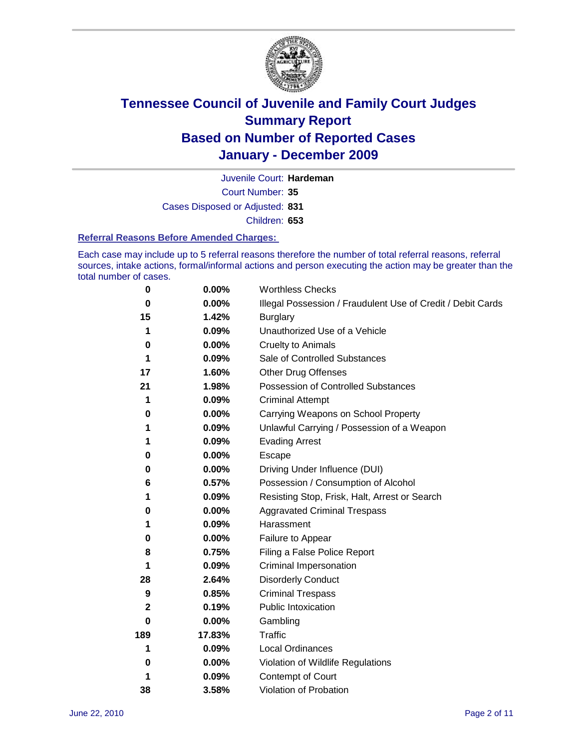

Court Number: **35** Juvenile Court: **Hardeman** Cases Disposed or Adjusted: **831** Children: **653**

#### **Referral Reasons Before Amended Charges:**

Each case may include up to 5 referral reasons therefore the number of total referral reasons, referral sources, intake actions, formal/informal actions and person executing the action may be greater than the total number of cases.

| $\pmb{0}$ | 0.00%    | <b>Worthless Checks</b>                                     |
|-----------|----------|-------------------------------------------------------------|
| 0         | 0.00%    | Illegal Possession / Fraudulent Use of Credit / Debit Cards |
| 15        | 1.42%    | <b>Burglary</b>                                             |
| 1         | 0.09%    | Unauthorized Use of a Vehicle                               |
| 0         | $0.00\%$ | <b>Cruelty to Animals</b>                                   |
| 1         | 0.09%    | Sale of Controlled Substances                               |
| 17        | 1.60%    | <b>Other Drug Offenses</b>                                  |
| 21        | 1.98%    | Possession of Controlled Substances                         |
| 1         | 0.09%    | <b>Criminal Attempt</b>                                     |
| 0         | 0.00%    | Carrying Weapons on School Property                         |
| 1         | 0.09%    | Unlawful Carrying / Possession of a Weapon                  |
| 1         | 0.09%    | <b>Evading Arrest</b>                                       |
| 0         | 0.00%    | Escape                                                      |
| 0         | $0.00\%$ | Driving Under Influence (DUI)                               |
| 6         | 0.57%    | Possession / Consumption of Alcohol                         |
| 1         | 0.09%    | Resisting Stop, Frisk, Halt, Arrest or Search               |
| 0         | $0.00\%$ | <b>Aggravated Criminal Trespass</b>                         |
| 1         | 0.09%    | Harassment                                                  |
| 0         | 0.00%    | Failure to Appear                                           |
| 8         | 0.75%    | Filing a False Police Report                                |
| 1         | 0.09%    | Criminal Impersonation                                      |
| 28        | 2.64%    | <b>Disorderly Conduct</b>                                   |
| 9         | 0.85%    | <b>Criminal Trespass</b>                                    |
| 2         | 0.19%    | Public Intoxication                                         |
| 0         | $0.00\%$ | Gambling                                                    |
| 189       | 17.83%   | <b>Traffic</b>                                              |
| 1         | 0.09%    | <b>Local Ordinances</b>                                     |
| 0         | 0.00%    | Violation of Wildlife Regulations                           |
| 1         | 0.09%    | Contempt of Court                                           |
| 38        | 3.58%    | Violation of Probation                                      |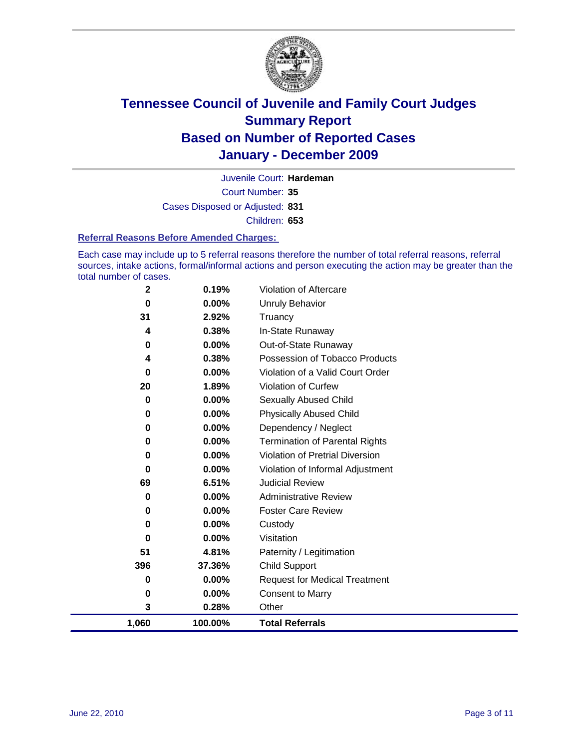

Court Number: **35** Juvenile Court: **Hardeman** Cases Disposed or Adjusted: **831** Children: **653**

#### **Referral Reasons Before Amended Charges:**

Each case may include up to 5 referral reasons therefore the number of total referral reasons, referral sources, intake actions, formal/informal actions and person executing the action may be greater than the total number of cases.

| 1,060             | 100.00%           | <b>Total Referrals</b>                 |
|-------------------|-------------------|----------------------------------------|
| 3                 | 0.28%             | Other                                  |
| 0                 | 0.00%             | <b>Consent to Marry</b>                |
| 0                 | 0.00%             | <b>Request for Medical Treatment</b>   |
| 396               | 37.36%            | <b>Child Support</b>                   |
| 51                | 4.81%             | Paternity / Legitimation               |
| 0                 | 0.00%             | Visitation                             |
| 0                 | 0.00%             | Custody                                |
| 0                 | 0.00%             | <b>Foster Care Review</b>              |
| 0                 | 0.00%             | <b>Administrative Review</b>           |
| 69                | 6.51%             | <b>Judicial Review</b>                 |
| 0                 | $0.00\%$          | Violation of Informal Adjustment       |
| 0                 | $0.00\%$          | <b>Violation of Pretrial Diversion</b> |
| 0                 | 0.00%             | <b>Termination of Parental Rights</b>  |
| 0                 | 0.00%             | Dependency / Neglect                   |
| $\bf{0}$          | $0.00\%$          | <b>Physically Abused Child</b>         |
| 0                 | 0.00%             | Sexually Abused Child                  |
| 20                | 1.89%             | Violation of Curfew                    |
| $\bf{0}$          | $0.00\%$          | Violation of a Valid Court Order       |
| 4                 | 0.38%             | Possession of Tobacco Products         |
| $\mathbf 0$       | $0.00\%$          | Out-of-State Runaway                   |
| 4                 | 0.38%             | Truancy<br>In-State Runaway            |
| $\mathbf 0$<br>31 | $0.00\%$<br>2.92% | <b>Unruly Behavior</b>                 |
| $\mathbf 2$       | 0.19%             | Violation of Aftercare                 |
|                   |                   |                                        |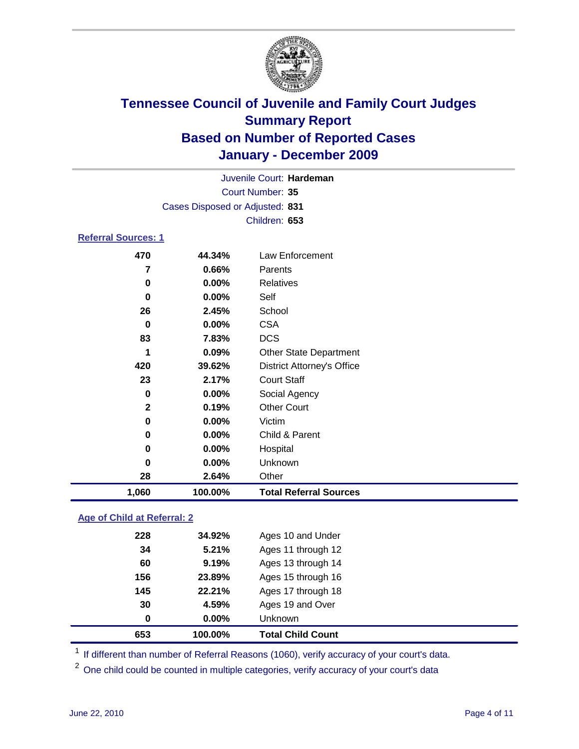

|                            |                                 | Juvenile Court: Hardeman          |  |  |  |
|----------------------------|---------------------------------|-----------------------------------|--|--|--|
|                            | Court Number: 35                |                                   |  |  |  |
|                            | Cases Disposed or Adjusted: 831 |                                   |  |  |  |
|                            |                                 | Children: 653                     |  |  |  |
| <b>Referral Sources: 1</b> |                                 |                                   |  |  |  |
| 470                        | 44.34%                          | Law Enforcement                   |  |  |  |
|                            |                                 |                                   |  |  |  |
| 7                          | 0.66%                           | Parents                           |  |  |  |
| 0                          | $0.00\%$                        | Relatives                         |  |  |  |
| 0                          | $0.00\%$                        | Self                              |  |  |  |
| 26                         | 2.45%                           | School                            |  |  |  |
| 0                          | $0.00\%$                        | <b>CSA</b>                        |  |  |  |
| 83                         | 7.83%                           | <b>DCS</b>                        |  |  |  |
| 1                          | 0.09%                           | <b>Other State Department</b>     |  |  |  |
| 420                        | 39.62%                          | <b>District Attorney's Office</b> |  |  |  |
| 23                         | 2.17%                           | <b>Court Staff</b>                |  |  |  |
| 0                          | $0.00\%$                        | Social Agency                     |  |  |  |
| $\overline{2}$             | 0.19%                           | <b>Other Court</b>                |  |  |  |
| 0                          | $0.00\%$                        | Victim                            |  |  |  |
| 0                          | 0.00%                           | Child & Parent                    |  |  |  |
| 0                          | 0.00%                           | Hospital                          |  |  |  |
| 0                          | $0.00\%$                        | Unknown                           |  |  |  |

 **2.64%** Other **1,060 100.00% Total Referral Sources**

### **Age of Child at Referral: 2**

| 30<br>0 | 4.59%<br>$0.00\%$ | Ages 19 and Over<br>Unknown |  |
|---------|-------------------|-----------------------------|--|
|         |                   |                             |  |
|         |                   |                             |  |
| 145     |                   | Ages 17 through 18          |  |
| 156     | 23.89%            | Ages 15 through 16          |  |
| 60      | 9.19%             | Ages 13 through 14          |  |
| 34      | 5.21%             | Ages 11 through 12          |  |
| 228     | 34.92%            | Ages 10 and Under           |  |
|         |                   | 22.21%                      |  |

<sup>1</sup> If different than number of Referral Reasons (1060), verify accuracy of your court's data.

<sup>2</sup> One child could be counted in multiple categories, verify accuracy of your court's data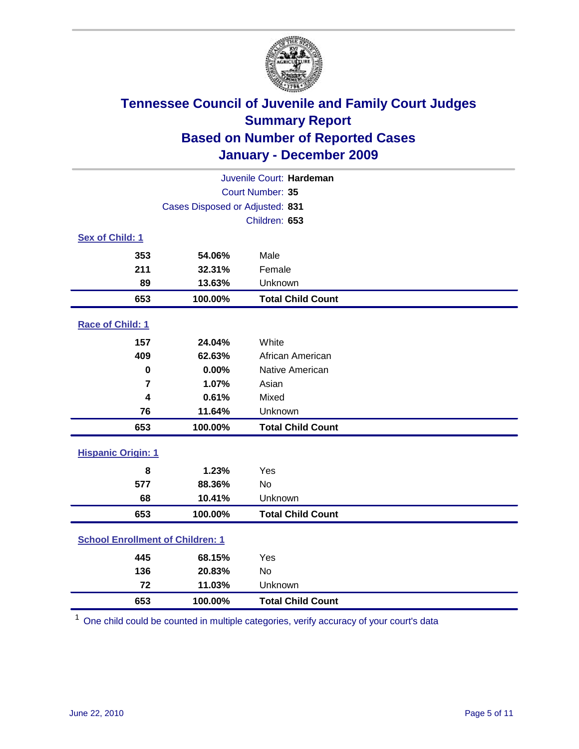

|                                         | Juvenile Court: Hardeman        |                          |  |  |  |
|-----------------------------------------|---------------------------------|--------------------------|--|--|--|
|                                         | Court Number: 35                |                          |  |  |  |
|                                         | Cases Disposed or Adjusted: 831 |                          |  |  |  |
|                                         | Children: 653                   |                          |  |  |  |
| Sex of Child: 1                         |                                 |                          |  |  |  |
| 353                                     | 54.06%                          | Male                     |  |  |  |
| 211                                     | 32.31%                          | Female                   |  |  |  |
| 89                                      | 13.63%                          | Unknown                  |  |  |  |
| 653                                     | 100.00%                         | <b>Total Child Count</b> |  |  |  |
| Race of Child: 1                        |                                 |                          |  |  |  |
| 157                                     | 24.04%                          | White                    |  |  |  |
| 409                                     | 62.63%                          | African American         |  |  |  |
| $\mathbf 0$                             | 0.00%                           | Native American          |  |  |  |
| 7                                       | 1.07%                           | Asian                    |  |  |  |
| 4                                       | 0.61%                           | Mixed                    |  |  |  |
| 76                                      | 11.64%                          | Unknown                  |  |  |  |
| 653                                     | 100.00%                         | <b>Total Child Count</b> |  |  |  |
| <b>Hispanic Origin: 1</b>               |                                 |                          |  |  |  |
| 8                                       | 1.23%                           | Yes                      |  |  |  |
| 577                                     | 88.36%                          | No                       |  |  |  |
| 68                                      | 10.41%                          | Unknown                  |  |  |  |
| 653                                     | 100.00%                         | <b>Total Child Count</b> |  |  |  |
| <b>School Enrollment of Children: 1</b> |                                 |                          |  |  |  |
| 445                                     | 68.15%                          | Yes                      |  |  |  |
| 136                                     | 20.83%                          | <b>No</b>                |  |  |  |
| 72                                      | 11.03%                          | Unknown                  |  |  |  |
| 653                                     | 100.00%                         | <b>Total Child Count</b> |  |  |  |

One child could be counted in multiple categories, verify accuracy of your court's data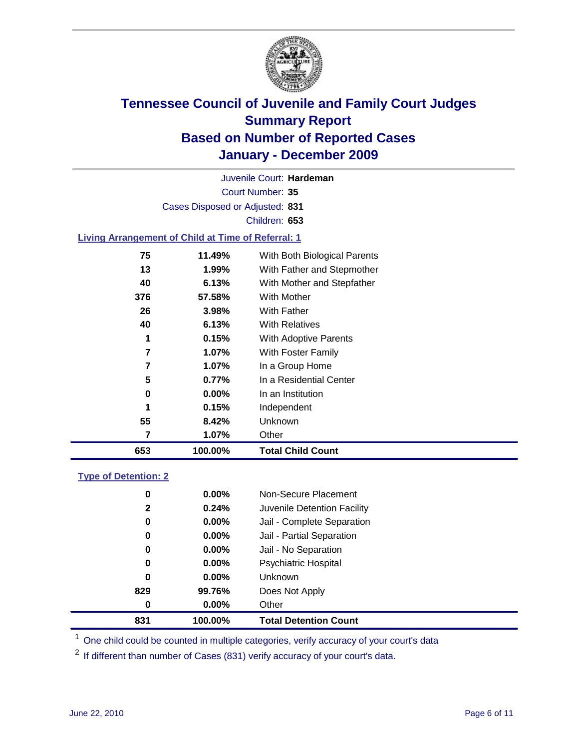

Court Number: **35** Juvenile Court: **Hardeman** Cases Disposed or Adjusted: **831** Children: **653**

#### **Living Arrangement of Child at Time of Referral: 1**

| 653 | 100.00%  | <b>Total Child Count</b>     |
|-----|----------|------------------------------|
| 7   | 1.07%    | Other                        |
| 55  | 8.42%    | Unknown                      |
| 1   | 0.15%    | Independent                  |
| 0   | $0.00\%$ | In an Institution            |
| 5   | 0.77%    | In a Residential Center      |
| 7   | 1.07%    | In a Group Home              |
| 7   | 1.07%    | With Foster Family           |
| 1   | 0.15%    | With Adoptive Parents        |
| 40  | 6.13%    | <b>With Relatives</b>        |
| 26  | 3.98%    | With Father                  |
| 376 | 57.58%   | With Mother                  |
| 40  | 6.13%    | With Mother and Stepfather   |
| 13  | 1.99%    | With Father and Stepmother   |
| 75  | 11.49%   | With Both Biological Parents |
|     |          |                              |

#### **Type of Detention: 2**

| 831          | 100.00%  | <b>Total Detention Count</b> |  |
|--------------|----------|------------------------------|--|
| 0            | $0.00\%$ | Other                        |  |
| 829          | 99.76%   | Does Not Apply               |  |
| $\bf{0}$     | $0.00\%$ | <b>Unknown</b>               |  |
| 0            | 0.00%    | <b>Psychiatric Hospital</b>  |  |
| 0            | 0.00%    | Jail - No Separation         |  |
| 0            | $0.00\%$ | Jail - Partial Separation    |  |
| 0            | $0.00\%$ | Jail - Complete Separation   |  |
| $\mathbf{2}$ | 0.24%    | Juvenile Detention Facility  |  |
| 0            | $0.00\%$ | Non-Secure Placement         |  |
|              |          |                              |  |

<sup>1</sup> One child could be counted in multiple categories, verify accuracy of your court's data

<sup>2</sup> If different than number of Cases (831) verify accuracy of your court's data.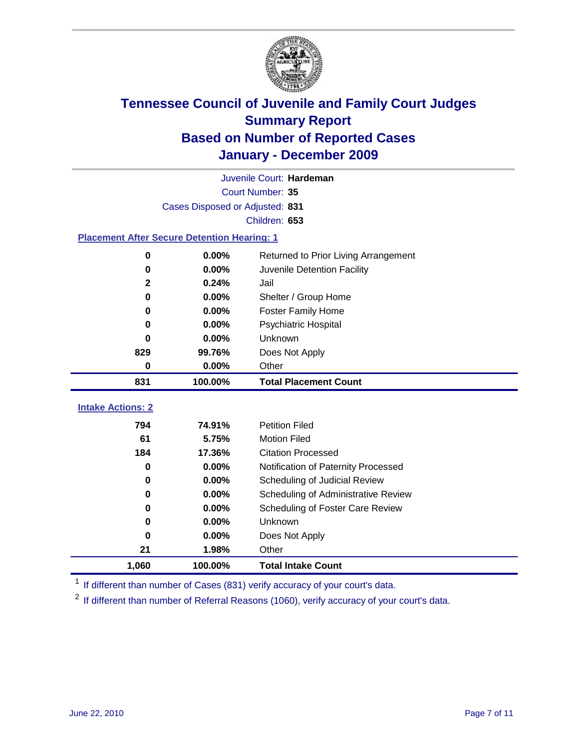

|                                                    | Juvenile Court: Hardeman        |                                      |  |  |  |
|----------------------------------------------------|---------------------------------|--------------------------------------|--|--|--|
|                                                    | Court Number: 35                |                                      |  |  |  |
|                                                    | Cases Disposed or Adjusted: 831 |                                      |  |  |  |
|                                                    | Children: 653                   |                                      |  |  |  |
| <b>Placement After Secure Detention Hearing: 1</b> |                                 |                                      |  |  |  |
| $\mathbf 0$                                        | 0.00%                           | Returned to Prior Living Arrangement |  |  |  |
| $\bf{0}$                                           | 0.00%                           | Juvenile Detention Facility          |  |  |  |
| 2                                                  | 0.24%                           | Jail                                 |  |  |  |
| $\bf{0}$                                           | 0.00%                           | Shelter / Group Home                 |  |  |  |
| 0                                                  | 0.00%                           | <b>Foster Family Home</b>            |  |  |  |
| 0                                                  | 0.00%                           | Psychiatric Hospital                 |  |  |  |
| U                                                  | 0.00%                           | Unknown                              |  |  |  |
| 829                                                | 99.76%                          | Does Not Apply                       |  |  |  |
| $\mathbf 0$                                        | 0.00%                           | Other                                |  |  |  |
| 831                                                | 100.00%                         | <b>Total Placement Count</b>         |  |  |  |
| <b>Intake Actions: 2</b>                           |                                 |                                      |  |  |  |
|                                                    |                                 |                                      |  |  |  |
| 794                                                | 74.91%                          | <b>Petition Filed</b>                |  |  |  |
| 61                                                 | 5.75%                           | <b>Motion Filed</b>                  |  |  |  |
| 184                                                | 17.36%                          | <b>Citation Processed</b>            |  |  |  |
| 0                                                  | 0.00%                           | Notification of Paternity Processed  |  |  |  |
| $\mathbf 0$                                        | 0.00%                           | Scheduling of Judicial Review        |  |  |  |
| $\bf{0}$                                           | 0.00%                           | Scheduling of Administrative Review  |  |  |  |
| 0                                                  | 0.00%                           | Scheduling of Foster Care Review     |  |  |  |
| 0                                                  | 0.00%                           | <b>Unknown</b>                       |  |  |  |
| $\bf{0}$                                           | 0.00%                           | Does Not Apply                       |  |  |  |
| 21                                                 | 1.98%                           | Other                                |  |  |  |
| 1,060                                              | 100.00%                         | <b>Total Intake Count</b>            |  |  |  |

<sup>1</sup> If different than number of Cases (831) verify accuracy of your court's data.

<sup>2</sup> If different than number of Referral Reasons (1060), verify accuracy of your court's data.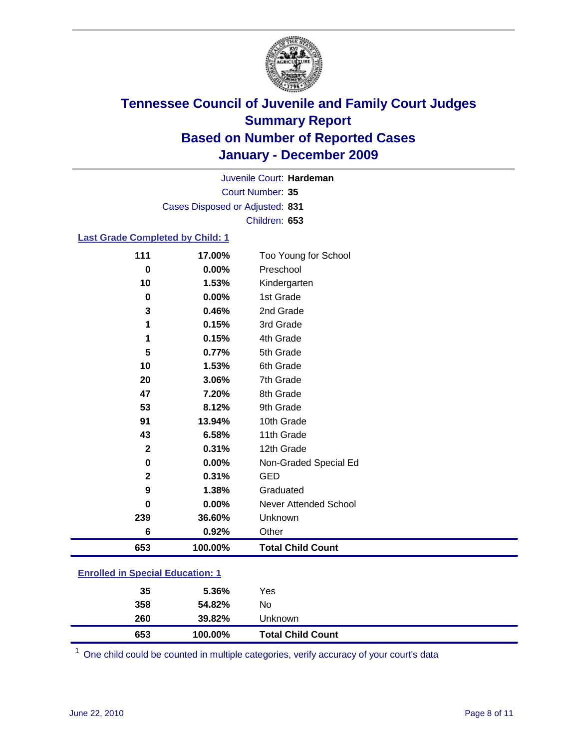

Court Number: **35** Juvenile Court: **Hardeman** Cases Disposed or Adjusted: **831** Children: **653**

#### **Last Grade Completed by Child: 1**

| 653                     | 100.00% | <b>Total Child Count</b>     |
|-------------------------|---------|------------------------------|
| 6                       | 0.92%   | Other                        |
| 239                     | 36.60%  | Unknown                      |
| 0                       | 0.00%   | <b>Never Attended School</b> |
| 9                       | 1.38%   | Graduated                    |
| $\overline{\mathbf{2}}$ | 0.31%   | <b>GED</b>                   |
| 0                       | 0.00%   | Non-Graded Special Ed        |
| $\mathbf 2$             | 0.31%   | 12th Grade                   |
| 43                      | 6.58%   | 11th Grade                   |
| 91                      | 13.94%  | 10th Grade                   |
| 53                      | 8.12%   | 9th Grade                    |
| 47                      | 7.20%   | 8th Grade                    |
| 20                      | 3.06%   | 7th Grade                    |
| 10                      | 1.53%   | 6th Grade                    |
| 5                       | 0.77%   | 5th Grade                    |
| 1                       | 0.15%   | 4th Grade                    |
| 1                       | 0.15%   | 3rd Grade                    |
| 3                       | 0.46%   | 2nd Grade                    |
| $\mathbf 0$             | 0.00%   | 1st Grade                    |
| 10                      | 1.53%   | Kindergarten                 |
| $\bf{0}$                | 0.00%   | Preschool                    |
| 111                     | 17.00%  | Too Young for School         |

### **Enrolled in Special Education: 1**

| 653 | 100.00% | <b>Total Child Count</b> |  |
|-----|---------|--------------------------|--|
| 260 | 39.82%  | Unknown                  |  |
| 358 | 54.82%  | No                       |  |
| 35  | 5.36%   | Yes                      |  |
|     |         |                          |  |

One child could be counted in multiple categories, verify accuracy of your court's data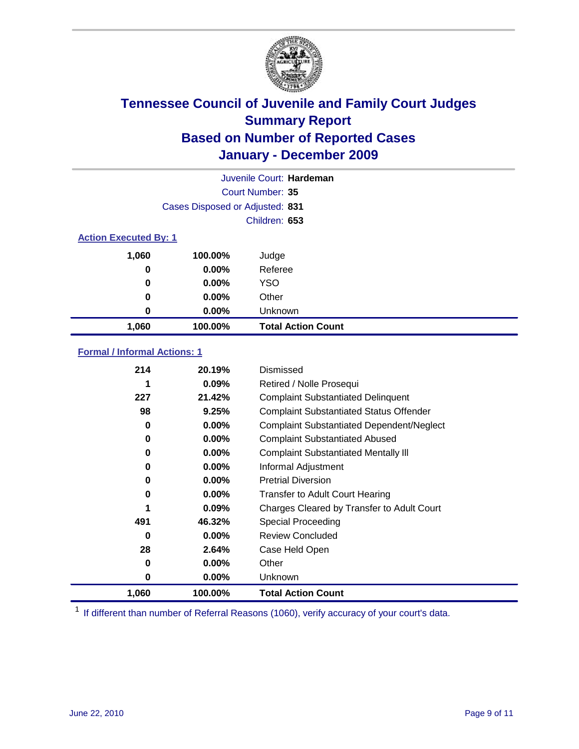

|                              | Juvenile Court: Hardeman        |                           |  |  |
|------------------------------|---------------------------------|---------------------------|--|--|
|                              | Court Number: 35                |                           |  |  |
|                              | Cases Disposed or Adjusted: 831 |                           |  |  |
|                              | Children: 653                   |                           |  |  |
| <b>Action Executed By: 1</b> |                                 |                           |  |  |
| 1,060                        | 100.00%                         | Judge                     |  |  |
| 0                            | $0.00\%$                        | Referee                   |  |  |
| 0                            | $0.00\%$                        | <b>YSO</b>                |  |  |
| 0                            | $0.00\%$                        | Other                     |  |  |
| 0                            | 0.00%                           | Unknown                   |  |  |
| 1,060                        | 100.00%                         | <b>Total Action Count</b> |  |  |

### **Formal / Informal Actions: 1**

| 214   | 20.19%   | Dismissed                                        |
|-------|----------|--------------------------------------------------|
|       | $0.09\%$ | Retired / Nolle Prosequi                         |
| 227   | 21.42%   | <b>Complaint Substantiated Delinquent</b>        |
| 98    | 9.25%    | <b>Complaint Substantiated Status Offender</b>   |
| 0     | $0.00\%$ | <b>Complaint Substantiated Dependent/Neglect</b> |
| 0     | $0.00\%$ | <b>Complaint Substantiated Abused</b>            |
| 0     | $0.00\%$ | <b>Complaint Substantiated Mentally III</b>      |
| 0     | $0.00\%$ | Informal Adjustment                              |
| 0     | $0.00\%$ | <b>Pretrial Diversion</b>                        |
| 0     | $0.00\%$ | <b>Transfer to Adult Court Hearing</b>           |
| 1     | 0.09%    | Charges Cleared by Transfer to Adult Court       |
| 491   | 46.32%   | Special Proceeding                               |
| 0     | $0.00\%$ | <b>Review Concluded</b>                          |
| 28    | 2.64%    | Case Held Open                                   |
| 0     | $0.00\%$ | Other                                            |
| 0     | $0.00\%$ | <b>Unknown</b>                                   |
| 1,060 | 100.00%  | <b>Total Action Count</b>                        |

<sup>1</sup> If different than number of Referral Reasons (1060), verify accuracy of your court's data.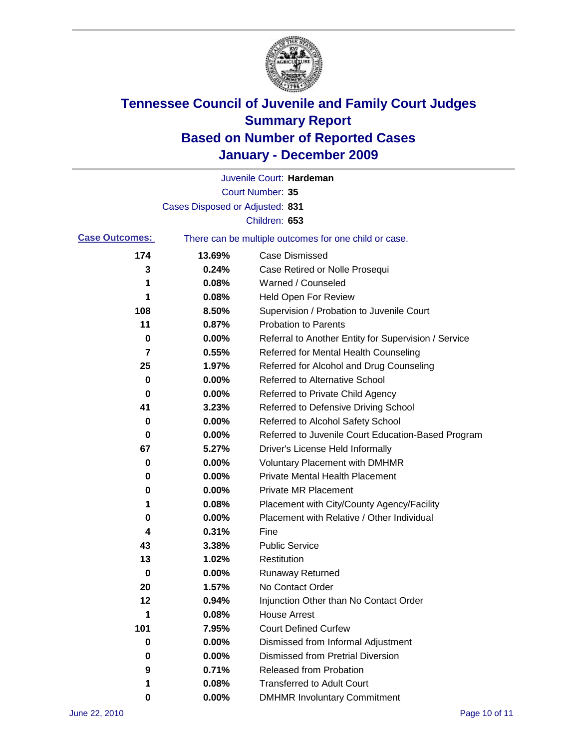

|                       |                                 | Juvenile Court: Hardeman                              |
|-----------------------|---------------------------------|-------------------------------------------------------|
|                       |                                 | Court Number: 35                                      |
|                       | Cases Disposed or Adjusted: 831 |                                                       |
|                       |                                 | Children: 653                                         |
| <b>Case Outcomes:</b> |                                 | There can be multiple outcomes for one child or case. |
| 174                   | 13.69%                          | <b>Case Dismissed</b>                                 |
| 3                     | 0.24%                           | Case Retired or Nolle Prosequi                        |
| 1                     | 0.08%                           | Warned / Counseled                                    |
| 1                     | 0.08%                           | Held Open For Review                                  |
| 108                   | 8.50%                           | Supervision / Probation to Juvenile Court             |
| 11                    | 0.87%                           | <b>Probation to Parents</b>                           |
| 0                     | 0.00%                           | Referral to Another Entity for Supervision / Service  |
| 7                     | 0.55%                           | Referred for Mental Health Counseling                 |
| 25                    | 1.97%                           | Referred for Alcohol and Drug Counseling              |
| 0                     | 0.00%                           | Referred to Alternative School                        |
| 0                     | 0.00%                           | Referred to Private Child Agency                      |
| 41                    | 3.23%                           | Referred to Defensive Driving School                  |
| 0                     | 0.00%                           | Referred to Alcohol Safety School                     |
| 0                     | 0.00%                           | Referred to Juvenile Court Education-Based Program    |
| 67                    | 5.27%                           | Driver's License Held Informally                      |
| 0                     | 0.00%                           | <b>Voluntary Placement with DMHMR</b>                 |
| 0                     | 0.00%                           | Private Mental Health Placement                       |
| 0                     | 0.00%                           | <b>Private MR Placement</b>                           |
| 1                     | 0.08%                           | Placement with City/County Agency/Facility            |
| 0                     | 0.00%                           | Placement with Relative / Other Individual            |
| 4                     | 0.31%                           | Fine                                                  |
| 43                    | 3.38%                           | <b>Public Service</b>                                 |
| 13                    | 1.02%                           | Restitution                                           |
| 0                     | 0.00%                           | <b>Runaway Returned</b>                               |
| 20                    | 1.57%                           | No Contact Order                                      |
| 12                    | 0.94%                           | Injunction Other than No Contact Order                |
| 1                     | 0.08%                           | <b>House Arrest</b>                                   |
| 101                   | 7.95%                           | <b>Court Defined Curfew</b>                           |
| 0                     | $0.00\%$                        | Dismissed from Informal Adjustment                    |
| 0                     | $0.00\%$                        | <b>Dismissed from Pretrial Diversion</b>              |
| 9                     | 0.71%                           | <b>Released from Probation</b>                        |
| 1                     | 0.08%                           | <b>Transferred to Adult Court</b>                     |
| 0                     | $0.00\%$                        | <b>DMHMR Involuntary Commitment</b>                   |